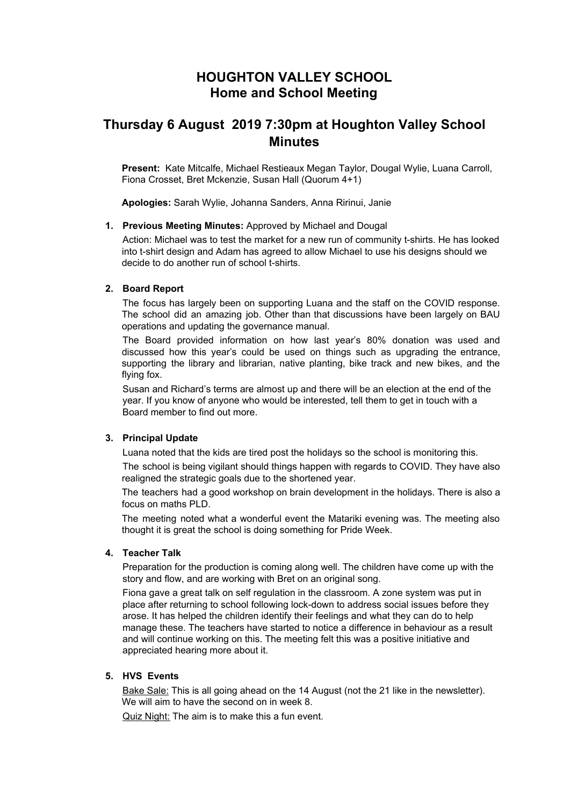# **HOUGHTON VALLEY SCHOOL Home and School Meeting**

# **Thursday 6 August 2019 7:30pm at Houghton Valley School Minutes**

**Present:** Kate Mitcalfe, Michael Restieaux Megan Taylor, Dougal Wylie, Luana Carroll, Fiona Crosset, Bret Mckenzie, Susan Hall (Quorum 4+1)

**Apologies:** Sarah Wylie, Johanna Sanders, Anna Ririnui, Janie

#### **1. Previous Meeting Minutes:** Approved by Michael and Dougal

Action: Michael was to test the market for a new run of community t-shirts. He has looked into t-shirt design and Adam has agreed to allow Michael to use his designs should we decide to do another run of school t-shirts.

#### **2. Board Report**

The focus has largely been on supporting Luana and the staff on the COVID response. The school did an amazing job. Other than that discussions have been largely on BAU operations and updating the governance manual.

The Board provided information on how last year's 80% donation was used and discussed how this year's could be used on things such as upgrading the entrance, supporting the library and librarian, native planting, bike track and new bikes, and the flying fox.

Susan and Richard's terms are almost up and there will be an election at the end of the year. If you know of anyone who would be interested, tell them to get in touch with a Board member to find out more.

### **3. Principal Update**

Luana noted that the kids are tired post the holidays so the school is monitoring this.

The school is being vigilant should things happen with regards to COVID. They have also realigned the strategic goals due to the shortened year.

The teachers had a good workshop on brain development in the holidays. There is also a focus on maths PLD.

The meeting noted what a wonderful event the Matariki evening was. The meeting also thought it is great the school is doing something for Pride Week.

### **4. Teacher Talk**

Preparation for the production is coming along well. The children have come up with the story and flow, and are working with Bret on an original song.

Fiona gave a great talk on self regulation in the classroom. A zone system was put in place after returning to school following lock-down to address social issues before they arose. It has helped the children identify their feelings and what they can do to help manage these. The teachers have started to notice a difference in behaviour as a result and will continue working on this. The meeting felt this was a positive initiative and appreciated hearing more about it.

## **5. HVS Events**

Bake Sale: This is all going ahead on the 14 August (not the 21 like in the newsletter). We will aim to have the second on in week 8.

Quiz Night: The aim is to make this a fun event.